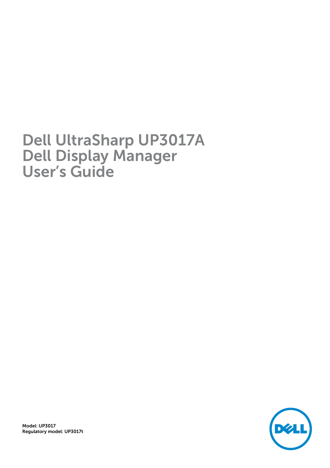# Dell UltraSharp UP3017A Dell Display Manager User's Guide

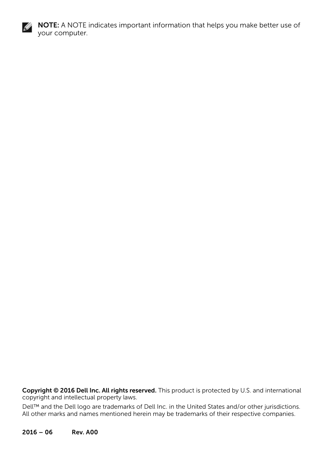

NOTE: A NOTE indicates important information that helps you make better use of your computer.

Copyright © 2016 Dell Inc. All rights reserved. This product is protected by U.S. and international copyright and intellectual property laws.

Dell™ and the Dell logo are trademarks of Dell Inc. in the United States and/or other jurisdictions. All other marks and names mentioned herein may be trademarks of their respective companies.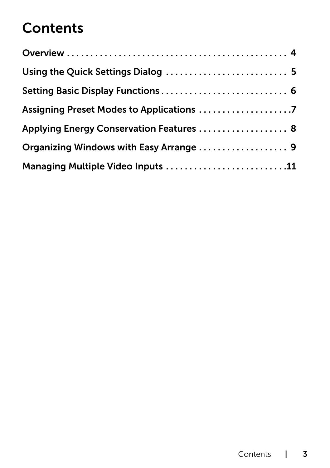# **Contents**

| Using the Quick Settings Dialog  5       |  |
|------------------------------------------|--|
|                                          |  |
|                                          |  |
| Applying Energy Conservation Features  8 |  |
|                                          |  |
| Managing Multiple Video Inputs 11        |  |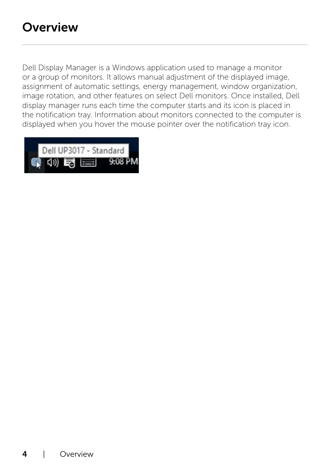<span id="page-3-0"></span> $\overline{a}$ 

Dell Display Manager is a Windows application used to manage a monitor or a group of monitors. It allows manual adjustment of the displayed image, assignment of automatic settings, energy management, window organization, image rotation, and other features on select Dell monitors. Once installed, Dell display manager runs each time the computer starts and its icon is placed in the notification tray. Information about monitors connected to the computer is displayed when you hover the mouse pointer over the notification tray icon.

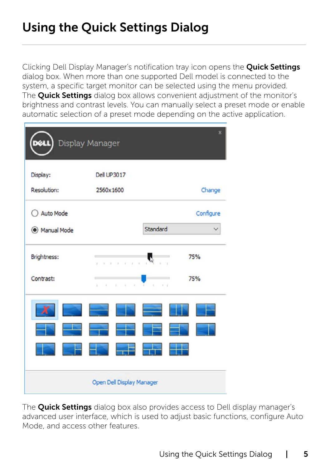<span id="page-4-0"></span> $\overline{a}$ 

Clicking Dell Display Manager's notification tray icon opens the **Quick Settings** dialog box. When more than one supported Dell model is connected to the system, a specific target monitor can be selected using the menu provided. The **Quick Settings** dialog box allows convenient adjustment of the monitor's brightness and contrast levels. You can manually select a preset mode or enable automatic selection of a preset mode depending on the active application.

| œu                             | Display Manager                     |                          |
|--------------------------------|-------------------------------------|--------------------------|
| Display:<br><b>Resolution:</b> | <b>Dell UP3017</b><br>2560x1600     | Change                   |
| ○ Auto Mode                    |                                     | Configure                |
| Manual Mode                    |                                     | Standard                 |
| Brightness:                    | ý.<br>$\mathbb{R}^+$<br>$\sim$<br>x | 75%<br>×                 |
| Contrast:                      | $\rightarrow$<br>K)<br>k            | 75%<br>PERSONAL PROPERTY |
|                                | $\equiv$                            |                          |
|                                |                                     |                          |
|                                |                                     |                          |
|                                | Open Dell Display Manager           |                          |

The **Quick Settings** dialog box also provides access to Dell display manager's advanced user interface, which is used to adjust basic functions, configure Auto Mode, and access other features.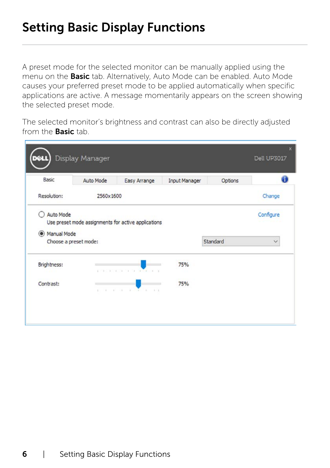#### <span id="page-5-0"></span>Setting Basic Display Functions

 $\overline{a}$ 

A preset mode for the selected monitor can be manually applied using the menu on the **Basic** tab. Alternatively, Auto Mode can be enabled. Auto Mode causes your preferred preset mode to be applied automatically when specific applications are active. A message momentarily appears on the screen showing the selected preset mode.

The selected monitor's brightness and contrast can also be directly adjusted from the **Basic** tab.

| Basic       | Auto Mode             | Easy Arrange                                        | <b>Input Manager</b> | Options  |              |
|-------------|-----------------------|-----------------------------------------------------|----------------------|----------|--------------|
| Resolution: | 2560x1600             |                                                     |                      |          | Change       |
| Auto Mode   |                       | Use preset mode assignments for active applications |                      |          | Configure    |
| Manual Mode |                       |                                                     |                      |          |              |
|             | Choose a preset mode: |                                                     |                      | Standard | $\checkmark$ |
| Brightness: |                       | property and the control of the con-                | 75%                  |          |              |
| Contrast:   | $\mathbb{R}^n$        | the property of the control of the con-             | 75%                  |          |              |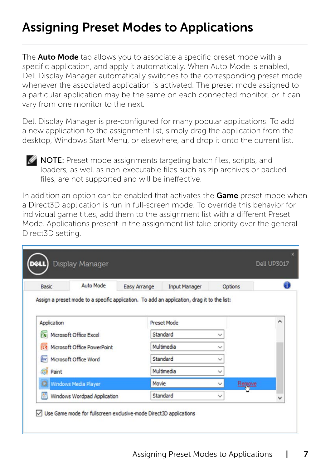#### <span id="page-6-0"></span>Assigning Preset Modes to Applications

The **Auto Mode** tab allows you to associate a specific preset mode with a specific application, and apply it automatically. When Auto Mode is enabled, Dell Display Manager automatically switches to the corresponding preset mode whenever the associated application is activated. The preset mode assigned to a particular application may be the same on each connected monitor, or it can vary from one monitor to the next.

Dell Display Manager is pre-configured for many popular applications. To add a new application to the assignment list, simply drag the application from the desktop, Windows Start Menu, or elsewhere, and drop it onto the current list.



 $\overline{a}$ 

**NOTE:** Preset mode assignments targeting batch files, scripts, and loaders, as well as non-executable files such as zip archives or packed files, are not supported and will be ineffective.

In addition an option can be enabled that activates the **Game** preset mode when a Direct3D application is run in full-screen mode. To override this behavior for individual game titles, add them to the assignment list with a different Preset Mode. Applications present in the assignment list take priority over the general Direct3D setting.

| Basic       | <b>Auto Mode</b>                     | Easy Arrange | <b>Input Manager</b>                                                                        | Options      |               |   |
|-------------|--------------------------------------|--------------|---------------------------------------------------------------------------------------------|--------------|---------------|---|
|             |                                      |              | Assign a preset mode to a specific application. To add an application, drag it to the list: |              |               |   |
| Application |                                      |              | <b>Preset Mode</b>                                                                          |              |               | ^ |
|             | $\mathbf{x}$ Microsoft Office Excel  |              | Standard                                                                                    | $\checkmark$ |               |   |
|             | <b>G</b> Microsoft Office PowerPoint |              | Multimedia                                                                                  |              |               |   |
|             | (w) Microsoft Office Word            |              | Standard                                                                                    |              |               |   |
| Paint<br>a  |                                      |              | Multimedia                                                                                  |              |               |   |
|             | Windows Media Player                 | Movie        |                                                                                             | $\checkmark$ | <u>Remove</u> |   |
|             | Windows Wordpad Application          |              | Standard                                                                                    | ∨            |               |   |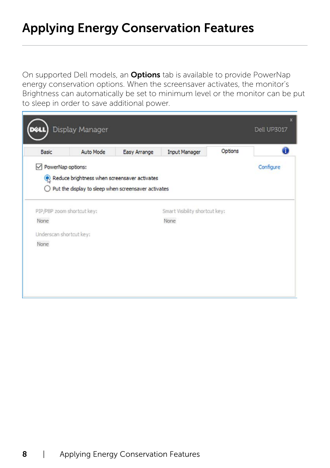#### <span id="page-7-0"></span>Applying Energy Conservation Features

 $\overline{a}$ 

On supported Dell models, an **Options** tab is available to provide PowerNap energy conservation options. When the screensaver activates, the monitor's Brightness can automatically be set to minimum level or the monitor can be put to sleep in order to save additional power.

| <b>Basic</b>                    | <b>Auto Mode</b>                                               | Easy Arrange | <b>Input Manager</b>           | Options |           |
|---------------------------------|----------------------------------------------------------------|--------------|--------------------------------|---------|-----------|
| PowerNap options:               |                                                                |              |                                |         | Configure |
|                                 | Reduce brightness when screensaver activates                   |              |                                |         |           |
|                                 | $\bigcirc$ Put the display to sleep when screensaver activates |              |                                |         |           |
|                                 |                                                                |              |                                |         |           |
|                                 | PIP/PBP zoom shortcut key:                                     |              | Smart Visibility shortcut key: |         |           |
| None                            |                                                                |              | None                           |         |           |
|                                 |                                                                |              |                                |         |           |
|                                 |                                                                |              |                                |         |           |
| Underscan shortcut key:<br>None |                                                                |              |                                |         |           |
|                                 |                                                                |              |                                |         |           |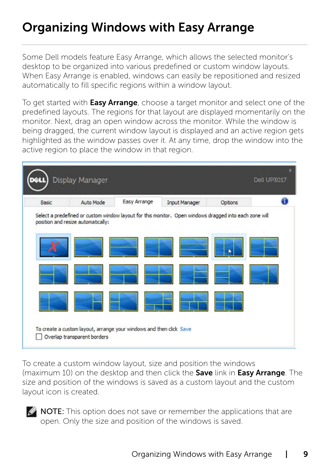### <span id="page-8-0"></span>Organizing Windows with Easy Arrange

 $\overline{a}$ 

Some Dell models feature Easy Arrange, which allows the selected monitor's desktop to be organized into various predefined or custom window layouts. When Easy Arrange is enabled, windows can easily be repositioned and resized automatically to fill specific regions within a window layout.

To get started with **Easy Arrange**, choose a target monitor and select one of the predefined layouts. The regions for that layout are displayed momentarily on the monitor. Next, drag an open window across the monitor. While the window is being dragged, the current window layout is displayed and an active region gets highlighted as the window passes over it. At any time, drop the window into the active region to place the window in that region.



To create a custom window layout, size and position the windows (maximum 10) on the desktop and then click the **Save** link in **Easy Arrange**. The size and position of the windows is saved as a custom layout and the custom layout icon is created.

**MOTE:** This option does not save or remember the applications that are open. Only the size and position of the windows is saved.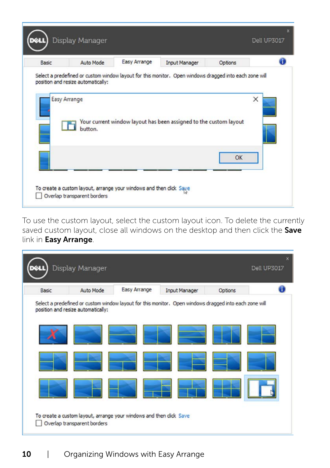| <b>Basic</b> | Auto Mode                          | Easy Arrange | <b>Input Manager</b>                                                                                   | Options |   |
|--------------|------------------------------------|--------------|--------------------------------------------------------------------------------------------------------|---------|---|
|              |                                    |              | Select a predefined or custom window layout for this monitor. Open windows dragged into each zone will |         |   |
|              | position and resize automatically: |              |                                                                                                        |         |   |
|              | Easy Arrange                       |              |                                                                                                        |         | × |
|              |                                    |              |                                                                                                        |         |   |
|              | button.                            |              | Your current window layout has been assigned to the custom layout                                      |         |   |
|              |                                    |              |                                                                                                        |         |   |
|              |                                    |              |                                                                                                        | OK      |   |
|              |                                    |              |                                                                                                        |         |   |

To use the custom layout, select the custom layout icon. To delete the currently saved custom layout, close all windows on the desktop and then click the Save link in Easy Arrange.

| Basic | Auto Mode                          | Easy Arrange                                                                                           | <b>Input Manager</b> | Options |  |
|-------|------------------------------------|--------------------------------------------------------------------------------------------------------|----------------------|---------|--|
|       |                                    | Select a predefined or custom window layout for this monitor. Open windows dragged into each zone will |                      |         |  |
|       | position and resize automatically: |                                                                                                        |                      |         |  |
|       |                                    |                                                                                                        |                      |         |  |
|       |                                    |                                                                                                        |                      |         |  |
|       |                                    |                                                                                                        |                      |         |  |
|       |                                    |                                                                                                        |                      |         |  |
|       |                                    |                                                                                                        |                      |         |  |
|       |                                    |                                                                                                        |                      |         |  |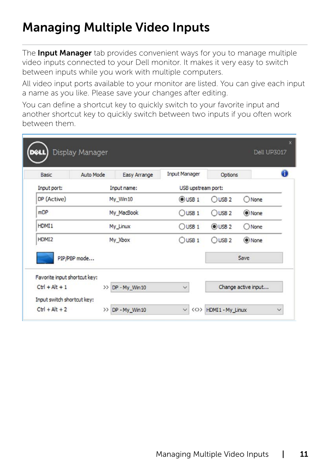## <span id="page-10-0"></span>Managing Multiple Video Inputs

 $\overline{a}$ 

The **Input Manager** tab provides convenient ways for you to manage multiple video inputs connected to your Dell monitor. It makes it very easy to switch between inputs while you work with multiple computers.

All video input ports available to your monitor are listed. You can give each input a name as you like. Please save your changes after editing.

You can define a shortcut key to quickly switch to your favorite input and another shortcut key to quickly switch between two inputs if you often work between them.

| Basic                        | Auto Mode    | Easy Arrange  | <b>Input Manager</b> | Options   | Ô                   |
|------------------------------|--------------|---------------|----------------------|-----------|---------------------|
| Input port:                  |              | Input name:   | USB upstream port:   |           |                     |
| DP (Active)                  |              | My Win10      | $①$ USB $1$          | $O$ USB 2 | ONone               |
| mDP                          |              | My MacBook    | $O$ USB 1            | $O$ USB 2 | (a) None            |
| HDMI1                        |              | My_Linux      | $O$ USB 1            | $@$ USB 2 | $O$ None            |
| HDMI2                        |              | My Xbox       | $O$ USB 1            | $O$ USB 2 | (a) None            |
|                              | PIP/PBP mode |               |                      |           | Save                |
| Favorite input shortcut key: |              |               |                      |           |                     |
| $Ctr I + Alt + 1$            | >            | DP - My Win10 | $\checkmark$         |           | Change active input |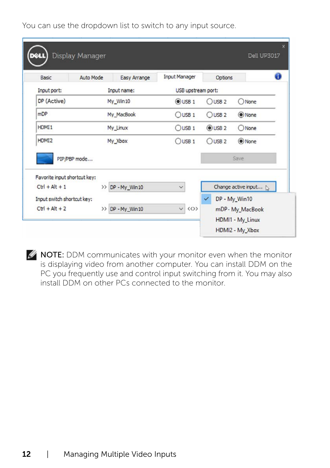You can use the dropdown list to switch to any input source.

| Input name:<br>My_Win10<br>My MacBook     | USB upstream port:<br>$@$ USB 1 | OUSB <sub>2</sub> | ONone               |
|-------------------------------------------|---------------------------------|-------------------|---------------------|
|                                           |                                 |                   |                     |
|                                           |                                 |                   |                     |
|                                           | $O$ USB 1                       | $O$ USB 2         | O None              |
| My Linux                                  | $O$ USB 1                       | $@$ USB 2         | ONone               |
| HDMI <sub>2</sub><br>My_Xbox<br>$O$ USB 1 |                                 | $O$ USB 2         | (a) None            |
|                                           |                                 |                   | Save                |
|                                           |                                 |                   |                     |
| >> DP - My_Win10                          | $\checkmark$                    |                   | Change active input |
|                                           |                                 |                   |                     |

**NOTE:** DDM communicates with your monitor even when the monitor is displaying video from another computer. You can install DDM on the PC you frequently use and control input switching from it. You may also install DDM on other PCs connected to the monitor.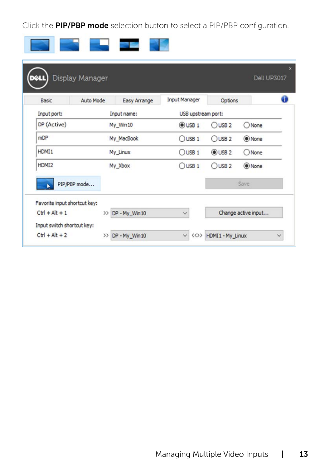Click the PIP/PBP mode selection button to select a PIP/PBP configuration.

 $\mathbb{R}^n \times \mathbb{R}^n$ 

 $\sim$ 

**The Company of Company** 

| Basic        | Auto Mode<br>Easy Arrange | <b>Input Manager</b> | Options           | ĠÙ       |
|--------------|---------------------------|----------------------|-------------------|----------|
| Input port:  | Input name:               | USB upstream port:   |                   |          |
| DP (Active)  | My Win10                  | $①$ USB $1$          | $O$ USB 2         | ONone    |
| mDP          | My MacBook                | $O$ USB 1            | $O$ USB 2         | O None   |
| HDMI1        | My_Linux                  | $O$ USB 1            | OUSB <sub>2</sub> | $O$ None |
| HDMI2        | My Xbox                   | $O$ USB 1            | $O$ USB 2         | (a) None |
| PIP/PBP mode |                           |                      |                   | Save     |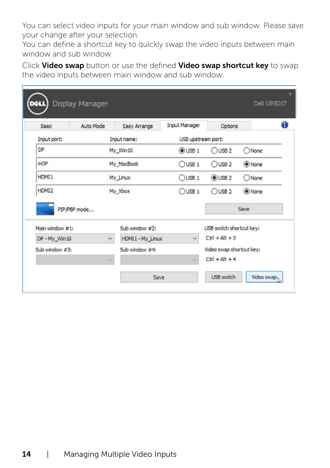You can select video inputs for your main window and sub window. Please save your change after your selection.

You can define a shortcut key to quickly swap the video inputs between main window and sub window.

Click Video swap button or use the defined Video swap shortcut key to swap the video inputs between main window and sub window.

| Basic             | Auto Mode    | Easy Arrange      | <b>Input Manager</b> | Options                  |          |
|-------------------|--------------|-------------------|----------------------|--------------------------|----------|
| Input port:       |              | Input name:       | USB upstream port:   |                          |          |
| <b>DP</b>         |              | My Win10          | $①$ USB $1$          | $O$ USB 2                | ONone    |
| mDP               |              | My MacBook        | $O$ USB 1            | $O$ USB 2                | (a) None |
| HDMT <sub>1</sub> |              | My Linux          |                      | $@$ USB 2                | ONone    |
| HDMI2<br>My Xbox  |              |                   | $O$ USB 1            | $O$ USB 2                | O None   |
| PIP/PBP mode      |              |                   |                      |                          | Save     |
| Main window #1:   |              | Sub window $#2$ : |                      | USB switch shortcut key: |          |
|                   | $\checkmark$ | HDMI1 - My_Linux  | $\checkmark$         | $CtrI + Alt + 3$         |          |
| DP - My_Win10     |              |                   |                      |                          |          |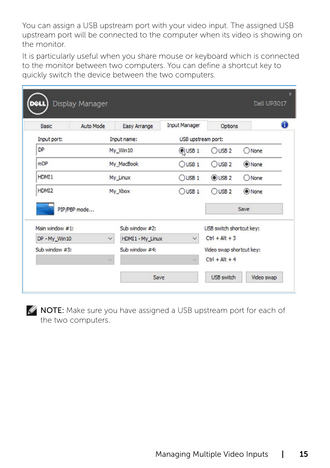You can assign a USB upstream port with your video input. The assigned USB upstream port will be connected to the computer when its video is showing on the monitor.

It is particularly useful when you share mouse or keyboard which is connected to the monitor between two computers. You can define a shortcut key to quickly switch the device between the two computers.

| Basic             | Auto Mode    | Easy Arrange      | <b>Input Manager</b> | Options                  |          |
|-------------------|--------------|-------------------|----------------------|--------------------------|----------|
| Input port:       |              | Input name:       | USB upstream port:   |                          |          |
| DP                |              | My Win10          | <b>QUSB1</b>         | $O$ USB 2                | ONone    |
| mDP               |              | My MacBook        | $O$ USB 1            | $O$ USB 2                | (a) None |
| HDMT <sub>1</sub> |              | My_Linux          | $O$ USB 1            | $@$ USB 2                | ONone    |
| HDMI2<br>My Xbox  |              |                   | $O$ USB 1            | $O$ USB 2                | (O) None |
|                   | PIP/PBP mode |                   |                      |                          | Save     |
| Main window #1:   |              | Sub window $#2$ : |                      | USB switch shortcut key: |          |
|                   |              | HDMI1 - My_Linux  | $\checkmark$         | $Ctr I + Alt + 3$        |          |
| DP - My Win10     | $\checkmark$ |                   |                      |                          |          |
|                   |              |                   |                      |                          |          |

**NOTE:** Make sure you have assigned a USB upstream port for each of the two computers.